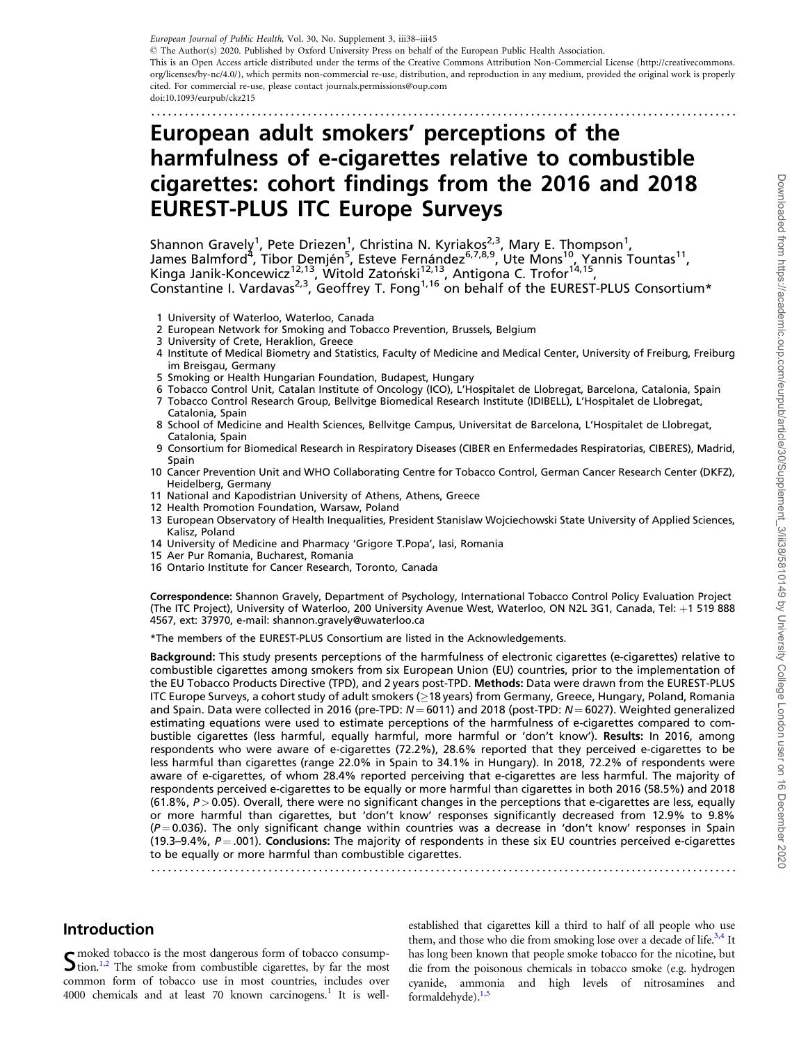<span id="page-0-0"></span>European Journal of Public Health, Vol. 30, No. Supplement 3, iii38–iii45

© The Author(s) 2020. Published by Oxford University Press on behalf of the European Public Health Association.

This is an Open Access article distributed under the terms of the Creative Commons Attribution Non-Commercial License (http://creativecommons. org/licenses/by-nc/4.0/), which permits non-commercial re-use, distribution, and reproduction in any medium, provided the original work is properly cited. For commercial re-use, please contact journals.permissions@oup.com

doi:10.1093/eurpub/ckz215

### .........................................................................................................

# European adult smokers' perceptions of the harmfulness of e-cigarettes relative to combustible cigarettes: cohort findings from the 2016 and 2018 EUREST-PLUS ITC Europe Surveys

Shannon Gravely<sup>1</sup>, Pete Driezen<sup>1</sup>, Christina N. Kyriakos<sup>2,3</sup>, Mary E. Thompson<sup>1</sup>, James Balmford<sup>4</sup>, Tibor Demjén<sup>5</sup>, Esteve Fernández<sup>6,7,8,9</sup>, Ute Mons<sup>10</sup>, Yannis Tountas<sup>11</sup>, Kinga Janik-Koncewicz<sup>12,13</sup>, Witold Zatoński<sup>12,13</sup>, Antigona C. Trofor<sup>14,15</sup>, Constantine I. Vardavas<sup>2,3</sup>, Geoffrey T. Fong<sup>1,16</sup> on behalf of the EUREST-PLUS Consortium\*

- 1 University of Waterloo, Waterloo, Canada
- 2 European Network for Smoking and Tobacco Prevention, Brussels, Belgium
- 3 University of Crete, Heraklion, Greece
- 4 Institute of Medical Biometry and Statistics, Faculty of Medicine and Medical Center, University of Freiburg, Freiburg im Breisgau, Germany
- 5 Smoking or Health Hungarian Foundation, Budapest, Hungary
- 6 Tobacco Control Unit, Catalan Institute of Oncology (ICO), L'Hospitalet de Llobregat, Barcelona, Catalonia, Spain 7 Tobacco Control Research Group, Bellvitge Biomedical Research Institute (IDIBELL), L'Hospitalet de Llobregat, Catalonia, Spain
- 8 School of Medicine and Health Sciences, Bellvitge Campus, Universitat de Barcelona, L'Hospitalet de Llobregat, Catalonia, Spain
- 9 Consortium for Biomedical Research in Respiratory Diseases (CIBER en Enfermedades Respiratorias, CIBERES), Madrid, Spain
- 10 Cancer Prevention Unit and WHO Collaborating Centre for Tobacco Control, German Cancer Research Center (DKFZ), Heidelberg, Germany
- 11 National and Kapodistrian University of Athens, Athens, Greece
- 12 Health Promotion Foundation, Warsaw, Poland
- 13 European Observatory of Health Inequalities, President Stanislaw Wojciechowski State University of Applied Sciences, Kalisz, Poland
- 14 University of Medicine and Pharmacy 'Grigore T.Popa', Iasi, Romania
- 15 Aer Pur Romania, Bucharest, Romania
- 16 Ontario Institute for Cancer Research, Toronto, Canada

Correspondence: Shannon Gravely, Department of Psychology, International Tobacco Control Policy Evaluation Project (The ITC Project), University of Waterloo, 200 University Avenue West, Waterloo, ON N2L 3G1, Canada, Tel: +1 519 888 4567, ext: 37970, e-mail: shannon.gravely@uwaterloo.ca

\*The members of the EUREST-PLUS Consortium are listed in the Acknowledgements.

Background: This study presents perceptions of the harmfulness of electronic cigarettes (e-cigarettes) relative to combustible cigarettes among smokers from six European Union (EU) countries, prior to the implementation of the EU Tobacco Products Directive (TPD), and 2 years post-TPD. Methods: Data were drawn from the EUREST-PLUS ITC Europe Surveys, a cohort study of adult smokers (≥18 years) from Germany, Greece, Hungary, Poland, Romania and Spain. Data were collected in 2016 (pre-TPD:  $N = 6011$ ) and 2018 (post-TPD:  $N = 6027$ ). Weighted generalized estimating equations were used to estimate perceptions of the harmfulness of e-cigarettes compared to combustible cigarettes (less harmful, equally harmful, more harmful or 'don't know'). Results: In 2016, among respondents who were aware of e-cigarettes (72.2%), 28.6% reported that they perceived e-cigarettes to be less harmful than cigarettes (range 22.0% in Spain to 34.1% in Hungary). In 2018, 72.2% of respondents were aware of e-cigarettes, of whom 28.4% reported perceiving that e-cigarettes are less harmful. The majority of respondents perceived e-cigarettes to be equally or more harmful than cigarettes in both 2016 (58.5%) and 2018  $(61.8\%, P > 0.05)$ . Overall, there were no significant changes in the perceptions that e-cigarettes are less, equally or more harmful than cigarettes, but 'don't know' responses significantly decreased from 12.9% to 9.8%  $(P = 0.036)$ . The only significant change within countries was a decrease in 'don't know' responses in Spain (19.3–9.4%,  $P = .001$ ). Conclusions: The majority of respondents in these six EU countries perceived e-cigarettes to be equally or more harmful than combustible cigarettes.

.........................................................................................................

# Introduction

 $S<sub>1,2</sub>$  $S<sub>1,2</sub>$  $S<sub>1,2</sub>$  The smoke from combustible cigarettes, by far the most  $S<sub>1,2</sub>$  The smoke from combustible cigarettes, by far the most common form of tobacco use in most countries, includes over 4000 chemicals and at least 70 known carcinogens.<sup>1</sup> It is well-

established that cigarettes kill a third to half of all people who use them, and those who die from smoking lose over a decade of life.<sup>3,4</sup> It has long been known that people smoke tobacco for the nicotine, but die from the poisonous chemicals in tobacco smoke (e.g. hydrogen cyanide, ammonia and high levels of nitrosamines and formaldehyde).<sup>[1,5](#page-6-0)</sup>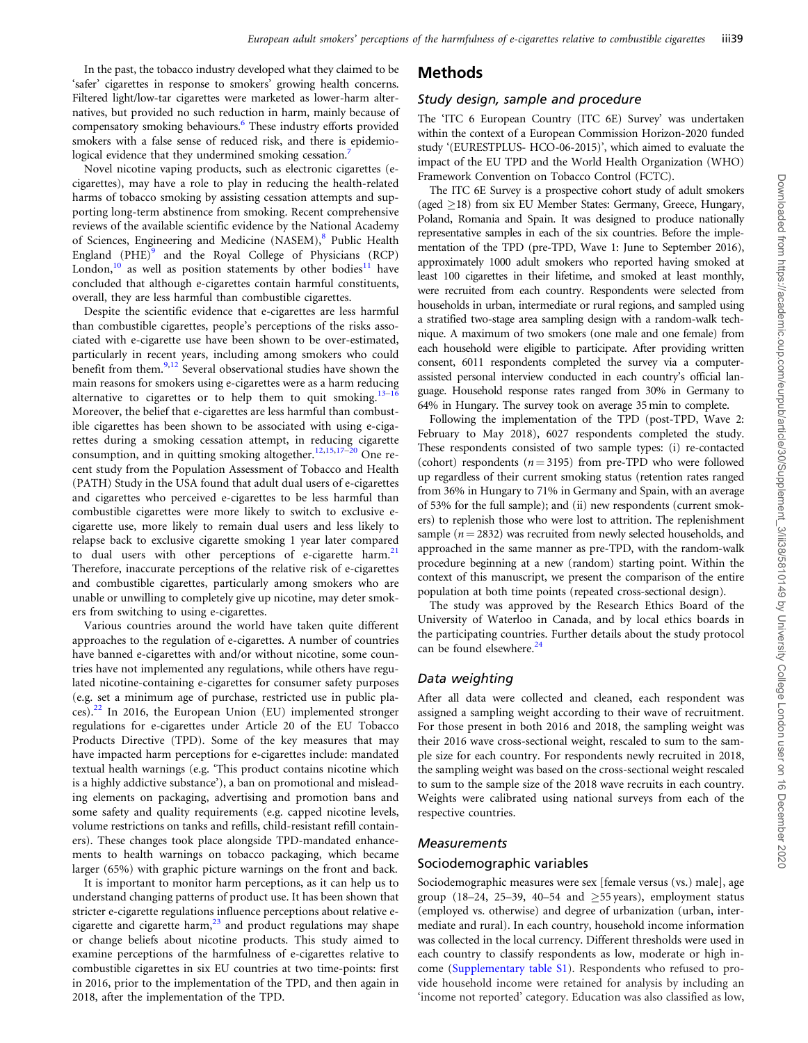<span id="page-1-0"></span>In the past, the tobacco industry developed what they claimed to be 'safer' cigarettes in response to smokers' growing health concerns. Filtered light/low-tar cigarettes were marketed as lower-harm alternatives, but provided no such reduction in harm, mainly because of compensatory smoking behaviours.<sup>6</sup> These industry efforts provided smokers with a false sense of reduced risk, and there is epidemiological evidence that they undermined smoking cessation.<sup>7</sup>

Novel nicotine vaping products, such as electronic cigarettes (ecigarettes), may have a role to play in reducing the health-related harms of tobacco smoking by assisting cessation attempts and supporting long-term abstinence from smoking. Recent comprehensive reviews of the available scientific evidence by the National Academy of Sciences, Engineering and Medicine (NASEM),<sup>[8](#page-6-0)</sup> Public Health England (PHE)<sup>[9](#page-6-0)</sup> and the Royal College of Physicians (RCP) London,<sup>[10](#page-6-0)</sup> as well as position statements by other bodies<sup>[11](#page-6-0)</sup> have concluded that although e-cigarettes contain harmful constituents, overall, they are less harmful than combustible cigarettes.

Despite the scientific evidence that e-cigarettes are less harmful than combustible cigarettes, people's perceptions of the risks associated with e-cigarette use have been shown to be over-estimated, particularly in recent years, including among smokers who could benefit from them. $9,12$  $9,12$  Several observational studies have shown the main reasons for smokers using e-cigarettes were as a harm reducing alternative to cigarettes or to help them to quit smoking.<sup>13-16</sup> Moreover, the belief that e-cigarettes are less harmful than combustible cigarettes has been shown to be associated with using e-cigarettes during a smoking cessation attempt, in reducing cigarette consumption, and in quitting smoking altogether.<sup>[12](#page-6-0),[15](#page-6-0),[17](#page-6-0)-[20](#page-6-0)</sup> One recent study from the Population Assessment of Tobacco and Health (PATH) Study in the USA found that adult dual users of e-cigarettes and cigarettes who perceived e-cigarettes to be less harmful than combustible cigarettes were more likely to switch to exclusive ecigarette use, more likely to remain dual users and less likely to relapse back to exclusive cigarette smoking 1 year later compared to dual users with other perceptions of e-cigarette harm.<sup>[21](#page-6-0)</sup> Therefore, inaccurate perceptions of the relative risk of e-cigarettes and combustible cigarettes, particularly among smokers who are unable or unwilling to completely give up nicotine, may deter smokers from switching to using e-cigarettes.

Various countries around the world have taken quite different approaches to the regulation of e-cigarettes. A number of countries have banned e-cigarettes with and/or without nicotine, some countries have not implemented any regulations, while others have regulated nicotine-containing e-cigarettes for consumer safety purposes (e.g. set a minimum age of purchase, restricted use in public places). $^{22}$  In 2016, the European Union (EU) implemented stronger regulations for e-cigarettes under Article 20 of the EU Tobacco Products Directive (TPD). Some of the key measures that may have impacted harm perceptions for e-cigarettes include: mandated textual health warnings (e.g. 'This product contains nicotine which is a highly addictive substance'), a ban on promotional and misleading elements on packaging, advertising and promotion bans and some safety and quality requirements (e.g. capped nicotine levels, volume restrictions on tanks and refills, child-resistant refill containers). These changes took place alongside TPD-mandated enhancements to health warnings on tobacco packaging, which became larger (65%) with graphic picture warnings on the front and back.

It is important to monitor harm perceptions, as it can help us to understand changing patterns of product use. It has been shown that stricter e-cigarette regulations influence perceptions about relative ecigarette and cigarette harm, $^{23}$  $^{23}$  $^{23}$  and product regulations may shape or change beliefs about nicotine products. This study aimed to examine perceptions of the harmfulness of e-cigarettes relative to combustible cigarettes in six EU countries at two time-points: first in 2016, prior to the implementation of the TPD, and then again in 2018, after the implementation of the TPD.

### Methods

### Study design, sample and procedure

The 'ITC 6 European Country (ITC 6E) Survey' was undertaken within the context of a European Commission Horizon-2020 funded study '(EURESTPLUS- HCO-06-2015)', which aimed to evaluate the impact of the EU TPD and the World Health Organization (WHO) Framework Convention on Tobacco Control (FCTC).

The ITC 6E Survey is a prospective cohort study of adult smokers (aged  $\geq$ 18) from six EU Member States: Germany, Greece, Hungary, Poland, Romania and Spain. It was designed to produce nationally representative samples in each of the six countries. Before the implementation of the TPD (pre-TPD, Wave 1: June to September 2016), approximately 1000 adult smokers who reported having smoked at least 100 cigarettes in their lifetime, and smoked at least monthly, were recruited from each country. Respondents were selected from households in urban, intermediate or rural regions, and sampled using a stratified two-stage area sampling design with a random-walk technique. A maximum of two smokers (one male and one female) from each household were eligible to participate. After providing written consent, 6011 respondents completed the survey via a computerassisted personal interview conducted in each country's official language. Household response rates ranged from 30% in Germany to 64% in Hungary. The survey took on average 35 min to complete.

Following the implementation of the TPD (post-TPD, Wave 2: February to May 2018), 6027 respondents completed the study. These respondents consisted of two sample types: (i) re-contacted (cohort) respondents ( $n = 3195$ ) from pre-TPD who were followed up regardless of their current smoking status (retention rates ranged from 36% in Hungary to 71% in Germany and Spain, with an average of 53% for the full sample); and (ii) new respondents (current smokers) to replenish those who were lost to attrition. The replenishment sample ( $n = 2832$ ) was recruited from newly selected households, and approached in the same manner as pre-TPD, with the random-walk procedure beginning at a new (random) starting point. Within the context of this manuscript, we present the comparison of the entire population at both time points (repeated cross-sectional design).

The study was approved by the Research Ethics Board of the University of Waterloo in Canada, and by local ethics boards in the participating countries. Further details about the study protocol can be found elsewhere.<sup>24</sup>

### Data weighting

After all data were collected and cleaned, each respondent was assigned a sampling weight according to their wave of recruitment. For those present in both 2016 and 2018, the sampling weight was their 2016 wave cross-sectional weight, rescaled to sum to the sample size for each country. For respondents newly recruited in 2018, the sampling weight was based on the cross-sectional weight rescaled to sum to the sample size of the 2018 wave recruits in each country. Weights were calibrated using national surveys from each of the respective countries.

#### Measurements

#### Sociodemographic variables

Sociodemographic measures were sex [female versus (vs.) male], age group (18–24, 25–39, 40–54 and  $\geq$ 55 years), employment status (employed vs. otherwise) and degree of urbanization (urban, intermediate and rural). In each country, household income information was collected in the local currency. Different thresholds were used in each country to classify respondents as low, moderate or high income ([Supplementary table S1](https://academic.oup.com/eurpub/article-lookup/doi/10.1093/eurpub/ckz215#supplementary-data)). Respondents who refused to provide household income were retained for analysis by including an 'income not reported' category. Education was also classified as low,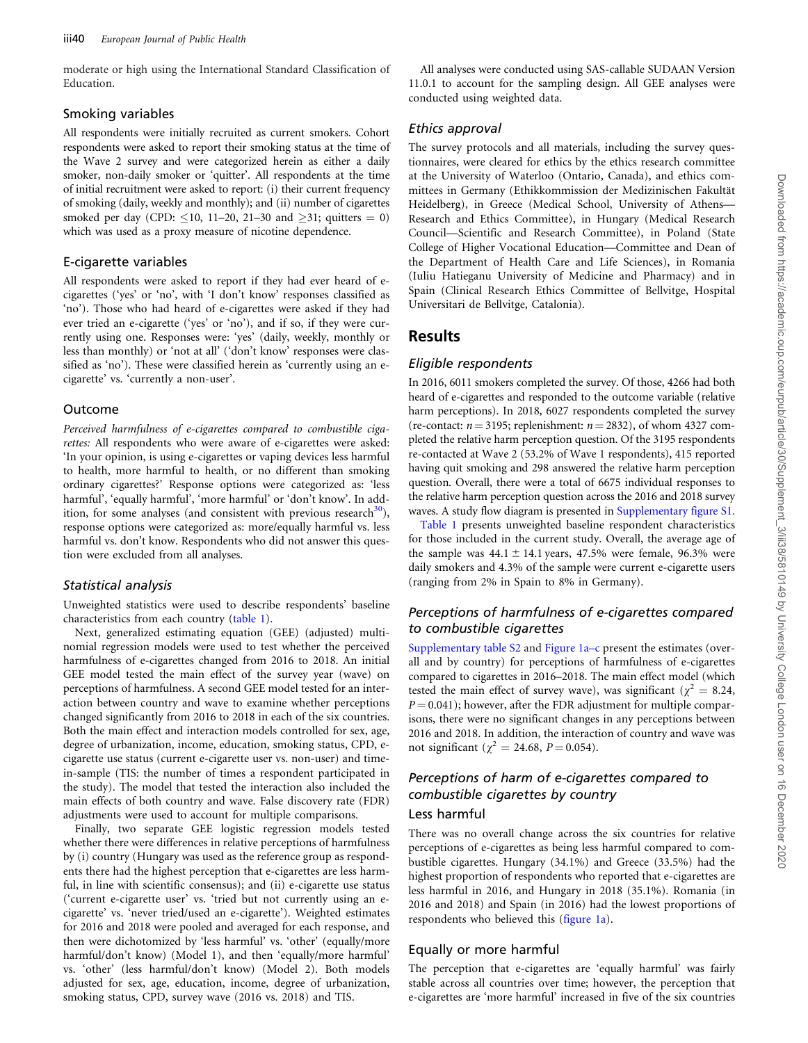<span id="page-2-0"></span>moderate or high using the International Standard Classification of Education.

### Smoking variables

All respondents were initially recruited as current smokers. Cohort respondents were asked to report their smoking status at the time of the Wave 2 survey and were categorized herein as either a daily smoker, non-daily smoker or 'quitter'. All respondents at the time of initial recruitment were asked to report: (i) their current frequency of smoking (daily, weekly and monthly); and (ii) number of cigarettes smoked per day (CPD:  $\leq$ 10, 11–20, 21–30 and  $\geq$ 31; quitters = 0) which was used as a proxy measure of nicotine dependence.

### E-cigarette variables

All respondents were asked to report if they had ever heard of ecigarettes ('yes' or 'no', with 'I don't know' responses classified as 'no'). Those who had heard of e-cigarettes were asked if they had ever tried an e-cigarette ('yes' or 'no'), and if so, if they were currently using one. Responses were: 'yes' (daily, weekly, monthly or less than monthly) or 'not at all' ('don't know' responses were classified as 'no'). These were classified herein as 'currently using an ecigarette' vs. 'currently a non-user'.

### Outcome

Perceived harmfulness of e-cigarettes compared to combustible cigarettes: All respondents who were aware of e-cigarettes were asked: 'In your opinion, is using e-cigarettes or vaping devices less harmful to health, more harmful to health, or no different than smoking ordinary cigarettes?' Response options were categorized as: 'less harmful', 'equally harmful', 'more harmful' or 'don't know'. In addition, for some analyses (and consistent with previous research $\frac{30}{2}$ ), response options were categorized as: more/equally harmful vs. less harmful vs. don't know. Respondents who did not answer this question were excluded from all analyses.

#### Statistical analysis

Unweighted statistics were used to describe respondents' baseline characteristics from each country ([table 1](#page-3-0)).

Next, generalized estimating equation (GEE) (adjusted) multinomial regression models were used to test whether the perceived harmfulness of e-cigarettes changed from 2016 to 2018. An initial GEE model tested the main effect of the survey year (wave) on perceptions of harmfulness. A second GEE model tested for an interaction between country and wave to examine whether perceptions changed significantly from 2016 to 2018 in each of the six countries. Both the main effect and interaction models controlled for sex, age, degree of urbanization, income, education, smoking status, CPD, ecigarette use status (current e-cigarette user vs. non-user) and timein-sample (TIS: the number of times a respondent participated in the study). The model that tested the interaction also included the main effects of both country and wave. False discovery rate (FDR) adjustments were used to account for multiple comparisons.

Finally, two separate GEE logistic regression models tested whether there were differences in relative perceptions of harmfulness by (i) country (Hungary was used as the reference group as respondents there had the highest perception that e-cigarettes are less harmful, in line with scientific consensus); and (ii) e-cigarette use status ('current e-cigarette user' vs. 'tried but not currently using an ecigarette' vs. 'never tried/used an e-cigarette'). Weighted estimates for 2016 and 2018 were pooled and averaged for each response, and then were dichotomized by 'less harmful' vs. 'other' (equally/more harmful/don't know) (Model 1), and then 'equally/more harmful' vs. 'other' (less harmful/don't know) (Model 2). Both models adjusted for sex, age, education, income, degree of urbanization, smoking status, CPD, survey wave (2016 vs. 2018) and TIS.

All analyses were conducted using SAS-callable SUDAAN Version 11.0.1 to account for the sampling design. All GEE analyses were conducted using weighted data.

### Ethics approval

The survey protocols and all materials, including the survey questionnaires, were cleared for ethics by the ethics research committee at the University of Waterloo (Ontario, Canada), and ethics committees in Germany (Ethikkommission der Medizinischen Fakultät Heidelberg), in Greece (Medical School, University of Athens— Research and Ethics Committee), in Hungary (Medical Research Council—Scientific and Research Committee), in Poland (State College of Higher Vocational Education—Committee and Dean of the Department of Health Care and Life Sciences), in Romania (Iuliu Hatieganu University of Medicine and Pharmacy) and in Spain (Clinical Research Ethics Committee of Bellvitge, Hospital Universitari de Bellvitge, Catalonia).

### Results

### Eligible respondents

In 2016, 6011 smokers completed the survey. Of those, 4266 had both heard of e-cigarettes and responded to the outcome variable (relative harm perceptions). In 2018, 6027 respondents completed the survey (re-contact:  $n = 3195$ ; replenishment:  $n = 2832$ ), of whom 4327 completed the relative harm perception question. Of the 3195 respondents re-contacted at Wave 2 (53.2% of Wave 1 respondents), 415 reported having quit smoking and 298 answered the relative harm perception question. Overall, there were a total of 6675 individual responses to the relative harm perception question across the 2016 and 2018 survey waves. A study flow diagram is presented in [Supplementary figure S1](https://academic.oup.com/eurpub/article-lookup/doi/10.1093/eurpub/ckz215#supplementary-data).

[Table 1](#page-3-0) presents unweighted baseline respondent characteristics for those included in the current study. Overall, the average age of the sample was  $44.1 \pm 14.1$  years,  $47.5\%$  were female,  $96.3\%$  were daily smokers and 4.3% of the sample were current e-cigarette users (ranging from 2% in Spain to 8% in Germany).

### Perceptions of harmfulness of e-cigarettes compared to combustible cigarettes

[Supplementary table S2](https://academic.oup.com/eurpub/article-lookup/doi/10.1093/eurpub/ckz215#supplementary-data) and [Figure 1a–c](#page-4-0) present the estimates (overall and by country) for perceptions of harmfulness of e-cigarettes compared to cigarettes in 2016–2018. The main effect model (which tested the main effect of survey wave), was significant ( $\chi^2 = 8.24$ ,  $P = 0.041$ ; however, after the FDR adjustment for multiple comparisons, there were no significant changes in any perceptions between 2016 and 2018. In addition, the interaction of country and wave was not significant ( $\chi^2 = 24.68$ ,  $P = 0.054$ ).

# Perceptions of harm of e-cigarettes compared to combustible cigarettes by country

# Less harmful

There was no overall change across the six countries for relative perceptions of e-cigarettes as being less harmful compared to combustible cigarettes. Hungary (34.1%) and Greece (33.5%) had the highest proportion of respondents who reported that e-cigarettes are less harmful in 2016, and Hungary in 2018 (35.1%). Romania (in 2016 and 2018) and Spain (in 2016) had the lowest proportions of respondents who believed this [\(figure 1a](#page-4-0)).

### Equally or more harmful

The perception that e-cigarettes are 'equally harmful' was fairly stable across all countries over time; however, the perception that e-cigarettes are 'more harmful' increased in five of the six countries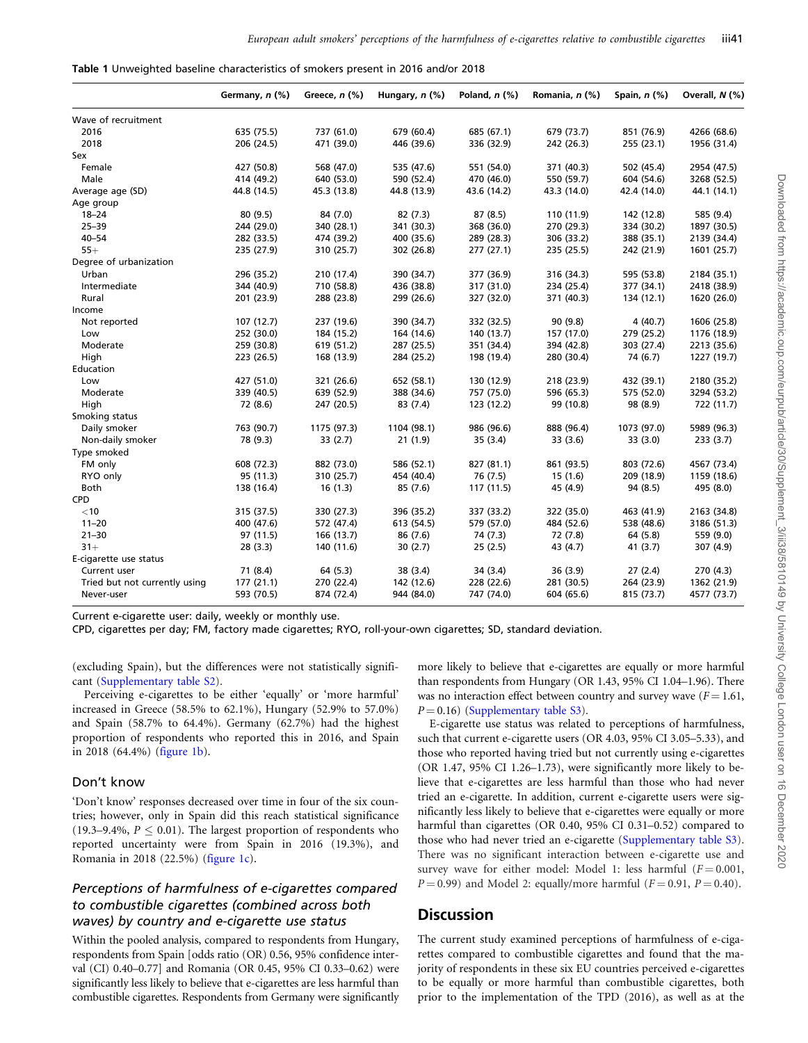<span id="page-3-0"></span>

| Table 1 Unweighted baseline characteristics of smokers present in 2016 and/or 2018 |  |  |  |  |  |  |  |
|------------------------------------------------------------------------------------|--|--|--|--|--|--|--|
|------------------------------------------------------------------------------------|--|--|--|--|--|--|--|

|                               | Germany, n (%) | Greece, $n$ $(\%)$ | Hungary, $n$ (%) | Poland, $n$ $(\%)$ | Romania, n (%) | Spain, $n$ $(\%)$ | Overall, N (%) |
|-------------------------------|----------------|--------------------|------------------|--------------------|----------------|-------------------|----------------|
| Wave of recruitment           |                |                    |                  |                    |                |                   |                |
| 2016                          | 635 (75.5)     | 737 (61.0)         | 679 (60.4)       | 685 (67.1)         | 679 (73.7)     | 851 (76.9)        | 4266 (68.6)    |
| 2018                          | 206 (24.5)     | 471 (39.0)         | 446 (39.6)       | 336 (32.9)         | 242 (26.3)     | 255 (23.1)        | 1956 (31.4)    |
| Sex                           |                |                    |                  |                    |                |                   |                |
| Female                        | 427 (50.8)     | 568 (47.0)         | 535 (47.6)       | 551 (54.0)         | 371 (40.3)     | 502 (45.4)        | 2954 (47.5)    |
| Male                          | 414 (49.2)     | 640 (53.0)         | 590 (52.4)       | 470 (46.0)         | 550 (59.7)     | 604 (54.6)        | 3268 (52.5)    |
| Average age (SD)              | 44.8 (14.5)    | 45.3 (13.8)        | 44.8 (13.9)      | 43.6 (14.2)        | 43.3 (14.0)    | 42.4 (14.0)       | 44.1 (14.1)    |
| Age group                     |                |                    |                  |                    |                |                   |                |
| $18 - 24$                     | 80 (9.5)       | 84 (7.0)           | 82(7.3)          | 87 (8.5)           | 110 (11.9)     | 142 (12.8)        | 585 (9.4)      |
| $25 - 39$                     | 244 (29.0)     | 340 (28.1)         | 341 (30.3)       | 368 (36.0)         | 270 (29.3)     | 334 (30.2)        | 1897 (30.5)    |
| $40 - 54$                     | 282 (33.5)     | 474 (39.2)         | 400 (35.6)       | 289 (28.3)         | 306 (33.2)     | 388 (35.1)        | 2139 (34.4)    |
| $55+$                         | 235 (27.9)     | 310 (25.7)         | 302 (26.8)       | 277 (27.1)         | 235 (25.5)     | 242 (21.9)        | 1601 (25.7)    |
| Degree of urbanization        |                |                    |                  |                    |                |                   |                |
| Urban                         | 296 (35.2)     | 210 (17.4)         | 390 (34.7)       | 377 (36.9)         | 316 (34.3)     | 595 (53.8)        | 2184 (35.1)    |
| Intermediate                  | 344 (40.9)     | 710 (58.8)         | 436 (38.8)       | 317 (31.0)         | 234 (25.4)     | 377 (34.1)        | 2418 (38.9)    |
| Rural                         | 201 (23.9)     | 288 (23.8)         | 299 (26.6)       | 327 (32.0)         | 371 (40.3)     | 134 (12.1)        | 1620 (26.0)    |
| Income                        |                |                    |                  |                    |                |                   |                |
| Not reported                  | 107 (12.7)     | 237 (19.6)         | 390 (34.7)       | 332 (32.5)         | 90 (9.8)       | 4 (40.7)          | 1606 (25.8)    |
| Low                           | 252 (30.0)     | 184 (15.2)         | 164 (14.6)       | 140 (13.7)         | 157 (17.0)     | 279 (25.2)        | 1176 (18.9)    |
| Moderate                      | 259 (30.8)     | 619 (51.2)         | 287 (25.5)       | 351 (34.4)         | 394 (42.8)     | 303 (27.4)        | 2213 (35.6)    |
| High                          | 223 (26.5)     | 168 (13.9)         | 284 (25.2)       | 198 (19.4)         | 280 (30.4)     | 74 (6.7)          | 1227 (19.7)    |
| Education                     |                |                    |                  |                    |                |                   |                |
| Low                           | 427 (51.0)     | 321 (26.6)         | 652 (58.1)       | 130 (12.9)         | 218 (23.9)     | 432 (39.1)        | 2180 (35.2)    |
| Moderate                      | 339 (40.5)     | 639 (52.9)         | 388 (34.6)       | 757 (75.0)         | 596 (65.3)     | 575 (52.0)        | 3294 (53.2)    |
| High                          | 72 (8.6)       | 247 (20.5)         | 83 (7.4)         | 123 (12.2)         | 99 (10.8)      | 98 (8.9)          | 722 (11.7)     |
| Smoking status                |                |                    |                  |                    |                |                   |                |
| Daily smoker                  | 763 (90.7)     | 1175 (97.3)        | 1104 (98.1)      | 986 (96.6)         | 888 (96.4)     | 1073 (97.0)       | 5989 (96.3)    |
| Non-daily smoker              | 78 (9.3)       | 33(2.7)            | 21(1.9)          | 35(3.4)            | 33 (3.6)       | 33(3.0)           | 233(3.7)       |
| Type smoked                   |                |                    |                  |                    |                |                   |                |
| FM only                       | 608 (72.3)     | 882 (73.0)         | 586 (52.1)       | 827 (81.1)         | 861 (93.5)     | 803 (72.6)        | 4567 (73.4)    |
| RYO only                      | 95 (11.3)      | 310 (25.7)         | 454 (40.4)       | 76 (7.5)           | 15(1.6)        | 209 (18.9)        | 1159 (18.6)    |
| Both                          | 138 (16.4)     | 16(1.3)            | 85 (7.6)         | 117 (11.5)         | 45 (4.9)       | 94 (8.5)          | 495 (8.0)      |
| <b>CPD</b>                    |                |                    |                  |                    |                |                   |                |
| $<$ 10                        | 315 (37.5)     | 330 (27.3)         | 396 (35.2)       | 337 (33.2)         | 322 (35.0)     | 463 (41.9)        | 2163 (34.8)    |
| $11 - 20$                     | 400 (47.6)     | 572 (47.4)         | 613 (54.5)       | 579 (57.0)         | 484 (52.6)     | 538 (48.6)        | 3186 (51.3)    |
| $21 - 30$                     | 97 (11.5)      | 166 (13.7)         | 86 (7.6)         | 74 (7.3)           | 72 (7.8)       | 64 (5.8)          | 559 (9.0)      |
| $31+$                         | 28(3.3)        | 140 (11.6)         | 30(2.7)          | 25(2.5)            | 43 (4.7)       | 41 (3.7)          | 307 (4.9)      |
| E-cigarette use status        |                |                    |                  |                    |                |                   |                |
| Current user                  | 71 (8.4)       | 64 (5.3)           | 38 (3.4)         | 34 (3.4)           | 36 (3.9)       | 27(2.4)           | 270 (4.3)      |
| Tried but not currently using | 177 (21.1)     | 270 (22.4)         | 142 (12.6)       | 228 (22.6)         | 281 (30.5)     | 264 (23.9)        | 1362 (21.9)    |
| Never-user                    | 593 (70.5)     | 874 (72.4)         | 944 (84.0)       | 747 (74.0)         | 604 (65.6)     | 815 (73.7)        | 4577 (73.7)    |

Current e-cigarette user: daily, weekly or monthly use.

CPD, cigarettes per day; FM, factory made cigarettes; RYO, roll-your-own cigarettes; SD, standard deviation.

(excluding Spain), but the differences were not statistically significant ([Supplementary table S2](https://academic.oup.com/eurpub/article-lookup/doi/10.1093/eurpub/ckz215#supplementary-data)).

Perceiving e-cigarettes to be either 'equally' or 'more harmful' increased in Greece (58.5% to 62.1%), Hungary (52.9% to 57.0%) and Spain (58.7% to 64.4%). Germany (62.7%) had the highest proportion of respondents who reported this in 2016, and Spain in 2018 (64.4%) [\(figure 1b](#page-4-0)).

### Don't know

'Don't know' responses decreased over time in four of the six countries; however, only in Spain did this reach statistical significance (19.3–9.4%,  $P \leq 0.01$ ). The largest proportion of respondents who reported uncertainty were from Spain in 2016 (19.3%), and Romania in 2018 (22.5%) [\(figure 1c](#page-4-0)).

### Perceptions of harmfulness of e-cigarettes compared to combustible cigarettes (combined across both waves) by country and e-cigarette use status

Within the pooled analysis, compared to respondents from Hungary, respondents from Spain [odds ratio (OR) 0.56, 95% confidence interval (CI) 0.40–0.77] and Romania (OR 0.45, 95% CI 0.33–0.62) were significantly less likely to believe that e-cigarettes are less harmful than combustible cigarettes. Respondents from Germany were significantly more likely to believe that e-cigarettes are equally or more harmful than respondents from Hungary (OR 1.43, 95% CI 1.04–1.96). There was no interaction effect between country and survey wave  $(F = 1.61,$  $P = 0.16$ ) ([Supplementary table S3\)](https://academic.oup.com/eurpub/article-lookup/doi/10.1093/eurpub/ckz215#supplementary-data).

E-cigarette use status was related to perceptions of harmfulness, such that current e-cigarette users (OR 4.03, 95% CI 3.05–5.33), and those who reported having tried but not currently using e-cigarettes (OR 1.47, 95% CI 1.26–1.73), were significantly more likely to believe that e-cigarettes are less harmful than those who had never tried an e-cigarette. In addition, current e-cigarette users were significantly less likely to believe that e-cigarettes were equally or more harmful than cigarettes (OR 0.40, 95% CI 0.31–0.52) compared to those who had never tried an e-cigarette [\(Supplementary table S3\)](https://academic.oup.com/eurpub/article-lookup/doi/10.1093/eurpub/ckz215#supplementary-data). There was no significant interaction between e-cigarette use and survey wave for either model: Model 1: less harmful  $(F = 0.001,$  $P = 0.99$ ) and Model 2: equally/more harmful ( $F = 0.91$ ,  $P = 0.40$ ).

# **Discussion**

The current study examined perceptions of harmfulness of e-cigarettes compared to combustible cigarettes and found that the majority of respondents in these six EU countries perceived e-cigarettes to be equally or more harmful than combustible cigarettes, both prior to the implementation of the TPD (2016), as well as at the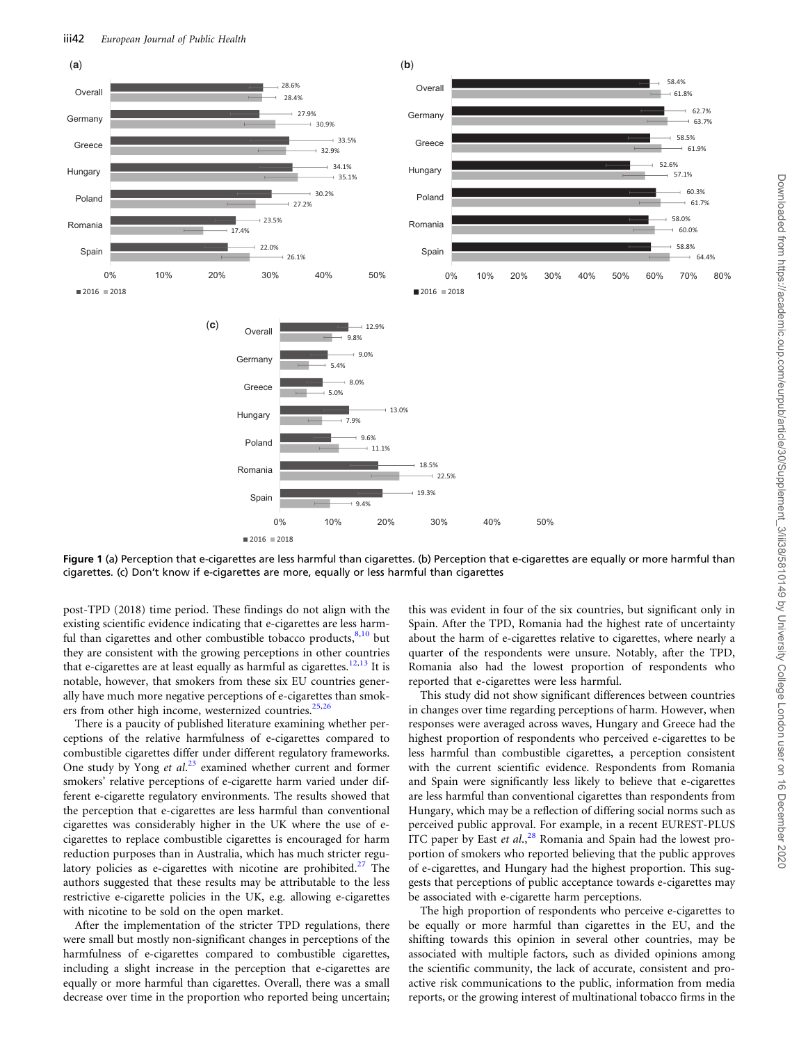<span id="page-4-0"></span>

Figure 1 (a) Perception that e-cigarettes are less harmful than cigarettes. (b) Perception that e-cigarettes are equally or more harmful than cigarettes. (c) Don't know if e-cigarettes are more, equally or less harmful than cigarettes

post-TPD (2018) time period. These findings do not align with the existing scientific evidence indicating that e-cigarettes are less harmful than cigarettes and other combustible tobacco products,  $8,10$  $8,10$  $8,10$  but they are consistent with the growing perceptions in other countries that e-cigarettes are at least equally as harmful as cigarettes.<sup>12,13</sup> It is notable, however, that smokers from these six EU countries generally have much more negative perceptions of e-cigarettes than smok-ers from other high income, westernized countries.<sup>[25](#page-6-0),[26](#page-6-0)</sup>

There is a paucity of published literature examining whether perceptions of the relative harmfulness of e-cigarettes compared to combustible cigarettes differ under different regulatory frameworks. One study by Yong et al.<sup>[23](#page-6-0)</sup> examined whether current and former smokers' relative perceptions of e-cigarette harm varied under different e-cigarette regulatory environments. The results showed that the perception that e-cigarettes are less harmful than conventional cigarettes was considerably higher in the UK where the use of ecigarettes to replace combustible cigarettes is encouraged for harm reduction purposes than in Australia, which has much stricter regu-latory policies as e-cigarettes with nicotine are prohibited.<sup>[27](#page-6-0)</sup> The authors suggested that these results may be attributable to the less restrictive e-cigarette policies in the UK, e.g. allowing e-cigarettes with nicotine to be sold on the open market.

After the implementation of the stricter TPD regulations, there were small but mostly non-significant changes in perceptions of the harmfulness of e-cigarettes compared to combustible cigarettes, including a slight increase in the perception that e-cigarettes are equally or more harmful than cigarettes. Overall, there was a small decrease over time in the proportion who reported being uncertain; this was evident in four of the six countries, but significant only in Spain. After the TPD, Romania had the highest rate of uncertainty about the harm of e-cigarettes relative to cigarettes, where nearly a quarter of the respondents were unsure. Notably, after the TPD, Romania also had the lowest proportion of respondents who reported that e-cigarettes were less harmful.

This study did not show significant differences between countries in changes over time regarding perceptions of harm. However, when responses were averaged across waves, Hungary and Greece had the highest proportion of respondents who perceived e-cigarettes to be less harmful than combustible cigarettes, a perception consistent with the current scientific evidence. Respondents from Romania and Spain were significantly less likely to believe that e-cigarettes are less harmful than conventional cigarettes than respondents from Hungary, which may be a reflection of differing social norms such as perceived public approval. For example, in a recent EUREST-PLUS ITC paper by East et al., $^{28}$  $^{28}$  $^{28}$  Romania and Spain had the lowest proportion of smokers who reported believing that the public approves of e-cigarettes, and Hungary had the highest proportion. This suggests that perceptions of public acceptance towards e-cigarettes may be associated with e-cigarette harm perceptions.

The high proportion of respondents who perceive e-cigarettes to be equally or more harmful than cigarettes in the EU, and the shifting towards this opinion in several other countries, may be associated with multiple factors, such as divided opinions among the scientific community, the lack of accurate, consistent and proactive risk communications to the public, information from media reports, or the growing interest of multinational tobacco firms in the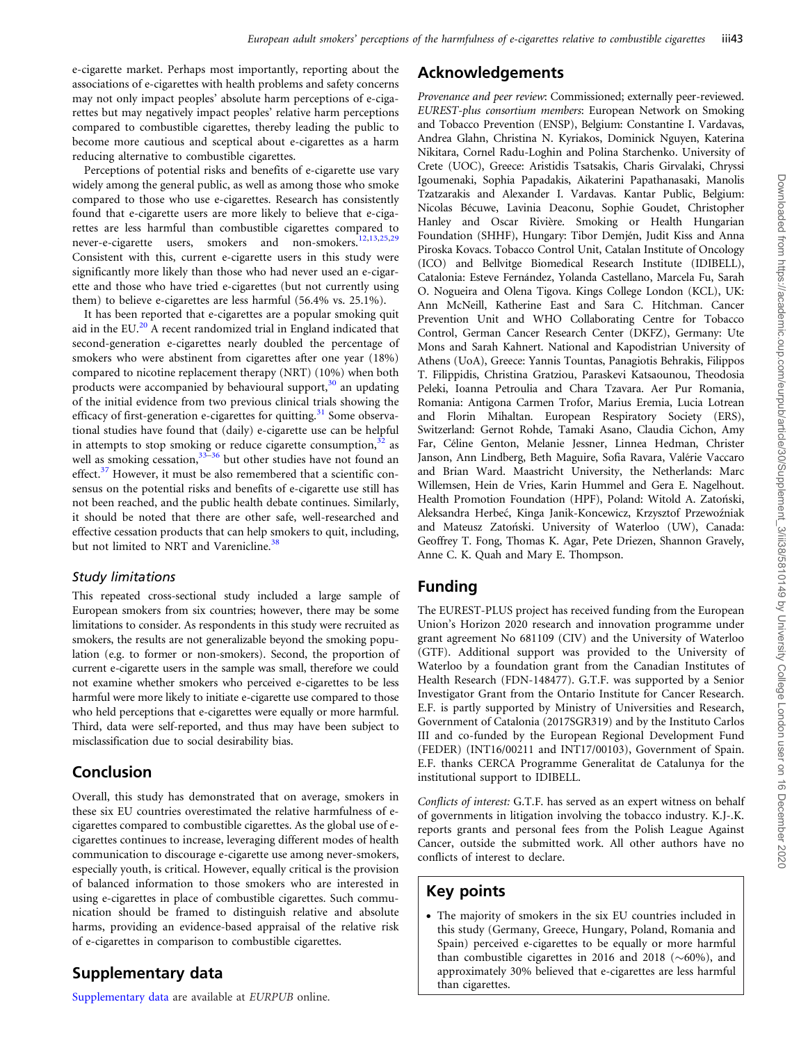<span id="page-5-0"></span>e-cigarette market. Perhaps most importantly, reporting about the associations of e-cigarettes with health problems and safety concerns may not only impact peoples' absolute harm perceptions of e-cigarettes but may negatively impact peoples' relative harm perceptions compared to combustible cigarettes, thereby leading the public to become more cautious and sceptical about e-cigarettes as a harm reducing alternative to combustible cigarettes.

Perceptions of potential risks and benefits of e-cigarette use vary widely among the general public, as well as among those who smoke compared to those who use e-cigarettes. Research has consistently found that e-cigarette users are more likely to believe that e-cigarettes are less harmful than combustible cigarettes compared to never-e-cigarette users, smokers and non-smokers.<sup>[12](#page-6-0),[13](#page-6-0),[25](#page-6-0),[29](#page-6-0)</sup> Consistent with this, current e-cigarette users in this study were significantly more likely than those who had never used an e-cigarette and those who have tried e-cigarettes (but not currently using them) to believe e-cigarettes are less harmful (56.4% vs. 25.1%).

It has been reported that e-cigarettes are a popular smoking quit aid in the EU. $^{20}$  $^{20}$  $^{20}$  A recent randomized trial in England indicated that second-generation e-cigarettes nearly doubled the percentage of smokers who were abstinent from cigarettes after one year (18%) compared to nicotine replacement therapy (NRT) (10%) when both products were accompanied by behavioural support, $30$  an updating of the initial evidence from two previous clinical trials showing the efficacy of first-generation e-cigarettes for quitting.<sup>31</sup> Some observational studies have found that (daily) e-cigarette use can be helpful in attempts to stop smoking or reduce cigarette consumption,  $32$  as well as smoking cessation,<sup>[33](#page-6-0)[–36](#page-7-0)</sup> but other studies have not found an effect. $37$  However, it must be also remembered that a scientific consensus on the potential risks and benefits of e-cigarette use still has not been reached, and the public health debate continues. Similarly, it should be noted that there are other safe, well-researched and effective cessation products that can help smokers to quit, including, but not limited to NRT and Varenicline.<sup>[38](#page-7-0)</sup>

### Study limitations

This repeated cross-sectional study included a large sample of European smokers from six countries; however, there may be some limitations to consider. As respondents in this study were recruited as smokers, the results are not generalizable beyond the smoking population (e.g. to former or non-smokers). Second, the proportion of current e-cigarette users in the sample was small, therefore we could not examine whether smokers who perceived e-cigarettes to be less harmful were more likely to initiate e-cigarette use compared to those who held perceptions that e-cigarettes were equally or more harmful. Third, data were self-reported, and thus may have been subject to misclassification due to social desirability bias.

# Conclusion

Overall, this study has demonstrated that on average, smokers in these six EU countries overestimated the relative harmfulness of ecigarettes compared to combustible cigarettes. As the global use of ecigarettes continues to increase, leveraging different modes of health communication to discourage e-cigarette use among never-smokers, especially youth, is critical. However, equally critical is the provision of balanced information to those smokers who are interested in using e-cigarettes in place of combustible cigarettes. Such communication should be framed to distinguish relative and absolute harms, providing an evidence-based appraisal of the relative risk of e-cigarettes in comparison to combustible cigarettes.

# Supplementary data

[Supplementary data](https://academic.oup.com/eurpub/article-lookup/doi/10.1093/eurpub/ckz215#supplementary-data) are available at EURPUB online.

# Acknowledgements

Provenance and peer review: Commissioned; externally peer-reviewed. EUREST-plus consortium members: European Network on Smoking and Tobacco Prevention (ENSP), Belgium: Constantine I. Vardavas, Andrea Glahn, Christina N. Kyriakos, Dominick Nguyen, Katerina Nikitara, Cornel Radu-Loghin and Polina Starchenko. University of Crete (UOC), Greece: Aristidis Tsatsakis, Charis Girvalaki, Chryssi Igoumenaki, Sophia Papadakis, Aikaterini Papathanasaki, Manolis Tzatzarakis and Alexander I. Vardavas. Kantar Public, Belgium: Nicolas Bécuwe, Lavinia Deaconu, Sophie Goudet, Christopher Hanley and Oscar Rivière. Smoking or Health Hungarian Foundation (SHHF), Hungary: Tibor Demjén, Judit Kiss and Anna Piroska Kovacs. Tobacco Control Unit, Catalan Institute of Oncology (ICO) and Bellvitge Biomedical Research Institute (IDIBELL), Catalonia: Esteve Fernández, Yolanda Castellano, Marcela Fu, Sarah O. Nogueira and Olena Tigova. Kings College London (KCL), UK: Ann McNeill, Katherine East and Sara C. Hitchman. Cancer Prevention Unit and WHO Collaborating Centre for Tobacco Control, German Cancer Research Center (DKFZ), Germany: Ute Mons and Sarah Kahnert. National and Kapodistrian University of Athens (UoA), Greece: Yannis Tountas, Panagiotis Behrakis, Filippos T. Filippidis, Christina Gratziou, Paraskevi Katsaounou, Theodosia Peleki, Ioanna Petroulia and Chara Tzavara. Aer Pur Romania, Romania: Antigona Carmen Trofor, Marius Eremia, Lucia Lotrean and Florin Mihaltan. European Respiratory Society (ERS), Switzerland: Gernot Rohde, Tamaki Asano, Claudia Cichon, Amy Far, Céline Genton, Melanie Jessner, Linnea Hedman, Christer Janson, Ann Lindberg, Beth Maguire, Sofia Ravara, Valérie Vaccaro and Brian Ward. Maastricht University, the Netherlands: Marc Willemsen, Hein de Vries, Karin Hummel and Gera E. Nagelhout. Health Promotion Foundation (HPF), Poland: Witold A. Zatoński, Aleksandra Herbeć, Kinga Janik-Koncewicz, Krzysztof Przewoźniak and Mateusz Zatoński. University of Waterloo (UW), Canada: Geoffrey T. Fong, Thomas K. Agar, Pete Driezen, Shannon Gravely, Anne C. K. Quah and Mary E. Thompson.

# Funding

The EUREST-PLUS project has received funding from the European Union's Horizon 2020 research and innovation programme under grant agreement No 681109 (CIV) and the University of Waterloo (GTF). Additional support was provided to the University of Waterloo by a foundation grant from the Canadian Institutes of Health Research (FDN-148477). G.T.F. was supported by a Senior Investigator Grant from the Ontario Institute for Cancer Research. E.F. is partly supported by Ministry of Universities and Research, Government of Catalonia (2017SGR319) and by the Instituto Carlos III and co-funded by the European Regional Development Fund (FEDER) (INT16/00211 and INT17/00103), Government of Spain. E.F. thanks CERCA Programme Generalitat de Catalunya for the institutional support to IDIBELL.

Conflicts of interest: G.T.F. has served as an expert witness on behalf of governments in litigation involving the tobacco industry. K.J-.K. reports grants and personal fees from the Polish League Against Cancer, outside the submitted work. All other authors have no conflicts of interest to declare.

# Key points

• The majority of smokers in the six EU countries included in this study (Germany, Greece, Hungary, Poland, Romania and Spain) perceived e-cigarettes to be equally or more harmful than combustible cigarettes in 2016 and 2018 ( $\sim$ 60%), and approximately 30% believed that e-cigarettes are less harmful than cigarettes.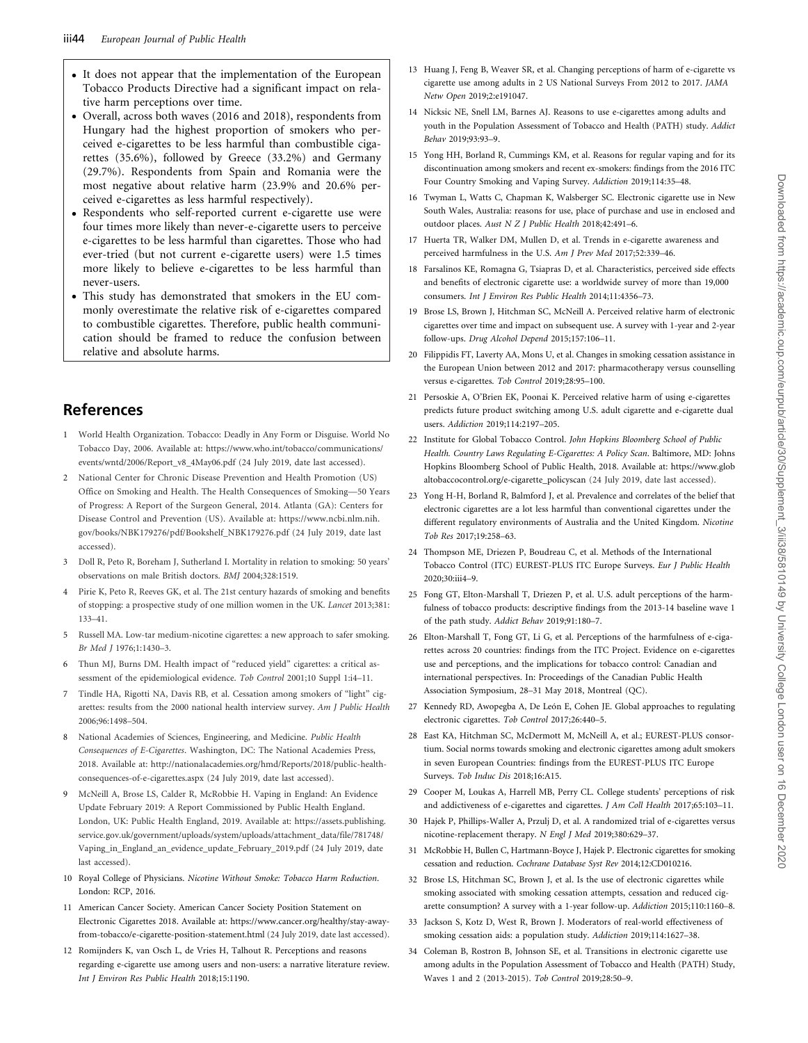- <span id="page-6-0"></span>• It does not appear that the implementation of the European Tobacco Products Directive had a significant impact on relative harm perceptions over time.
- Overall, across both waves (2016 and 2018), respondents from Hungary had the highest proportion of smokers who perceived e-cigarettes to be less harmful than combustible cigarettes (35.6%), followed by Greece (33.2%) and Germany (29.7%). Respondents from Spain and Romania were the most negative about relative harm (23.9% and 20.6% perceived e-cigarettes as less harmful respectively).
- Respondents who self-reported current e-cigarette use were four times more likely than never-e-cigarette users to perceive e-cigarettes to be less harmful than cigarettes. Those who had ever-tried (but not current e-cigarette users) were 1.5 times more likely to believe e-cigarettes to be less harmful than never-users.
- This study has demonstrated that smokers in the EU commonly overestimate the relative risk of e-cigarettes compared to combustible cigarettes. Therefore, public health communication should be framed to reduce the confusion between relative and absolute harms.

# References

- [1](#page-0-0) World Health Organization. Tobacco: Deadly in Any Form or Disguise. World No Tobacco Day, 2006. Available at: [https://www.who.int/tobacco/communications/](https://www.who.int/tobacco/communications/events/wntd/2006/Report_v8_4May06.pdf) [events/wntd/2006/Report\\_v8\\_4May06.pdf](https://www.who.int/tobacco/communications/events/wntd/2006/Report_v8_4May06.pdf) (24 July 2019, date last accessed).
- [2](#page-0-0) National Center for Chronic Disease Prevention and Health Promotion (US) Office on Smoking and Health. The Health Consequences of Smoking—50 Years of Progress: A Report of the Surgeon General, 2014. Atlanta (GA): Centers for Disease Control and Prevention (US). Available at: [https://www.ncbi.nlm.nih.](https://www.ncbi.nlm.nih.gov/books/NBK179276/pdf/Bookshelf_NBK179276.pdf) [gov/books/NBK179276/pdf/Bookshelf\\_NBK179276.pdf](https://www.ncbi.nlm.nih.gov/books/NBK179276/pdf/Bookshelf_NBK179276.pdf) (24 July 2019, date last accessed).
- [3](#page-0-0) Doll R, Peto R, Boreham J, Sutherland I. Mortality in relation to smoking: 50 years' observations on male British doctors. BMJ 2004;328:1519.
- [4](#page-0-0) Pirie K, Peto R, Reeves GK, et al. The 21st century hazards of smoking and benefits of stopping: a prospective study of one million women in the UK. Lancet 2013;381: 133–41.
- [5](#page-0-0) Russell MA. Low-tar medium-nicotine cigarettes: a new approach to safer smoking. Br Med J 1976;1:1430–3.
- [6](#page-1-0) Thun MJ, Burns DM. Health impact of "reduced yield" cigarettes: a critical assessment of the epidemiological evidence. Tob Control 2001;10 Suppl 1:i4–11.
- [7](#page-1-0) Tindle HA, Rigotti NA, Davis RB, et al. Cessation among smokers of "light" cigarettes: results from the 2000 national health interview survey. Am J Public Health 2006;96:1498–504.
- [8](#page-1-0) National Academies of Sciences, Engineering, and Medicine. Public Health Consequences of E-Cigarettes. Washington, DC: The National Academies Press, 2018. Available at: [http://nationalacademies.org/hmd/Reports/2018/public-health](http://nationalacademies.org/hmd/Reports/2018/public-health-consequences-of-e-cigarettes.aspx)[consequences-of-e-cigarettes.aspx](http://nationalacademies.org/hmd/Reports/2018/public-health-consequences-of-e-cigarettes.aspx) (24 July 2019, date last accessed).
- [9](#page-1-0) McNeill A, Brose LS, Calder R, McRobbie H. Vaping in England: An Evidence Update February 2019: A Report Commissioned by Public Health England. London, UK: Public Health England, 2019. Available at: [https://assets.publishing.](https://assets.publishing.service.gov.uk/government/uploads/system/uploads/attachment_data/file/781748/Vaping_in_England_an_evidence_update_February_2019.pdf) [service.gov.uk/government/uploads/system/uploads/attachment\\_data/file/781748/](https://assets.publishing.service.gov.uk/government/uploads/system/uploads/attachment_data/file/781748/Vaping_in_England_an_evidence_update_February_2019.pdf) [Vaping\\_in\\_England\\_an\\_evidence\\_update\\_February\\_2019.pdf](https://assets.publishing.service.gov.uk/government/uploads/system/uploads/attachment_data/file/781748/Vaping_in_England_an_evidence_update_February_2019.pdf) (24 July 2019, date last accessed).
- [10](#page-1-0) Royal College of Physicians. Nicotine Without Smoke: Tobacco Harm Reduction. London: RCP, 2016.
- [11](#page-1-0) American Cancer Society. American Cancer Society Position Statement on Electronic Cigarettes 2018. Available at: [https://www.cancer.org/healthy/stay-away](https://www.cancer.org/healthy/stay-away-from-tobacco/e-cigarette-position-statement.html)[from-tobacco/e-cigarette-position-statement.html](https://www.cancer.org/healthy/stay-away-from-tobacco/e-cigarette-position-statement.html) (24 July 2019, date last accessed).
- [12](#page-1-0) Romijnders K, van Osch L, de Vries H, Talhout R. Perceptions and reasons regarding e-cigarette use among users and non-users: a narrative literature review. Int J Environ Res Public Health 2018;15:1190.
- [13](#page-4-0) Huang J, Feng B, Weaver SR, et al. Changing perceptions of harm of e-cigarette vs cigarette use among adults in 2 US National Surveys From 2012 to 2017. JAMA Netw Open 2019;2:e191047.
- 14 Nicksic NE, Snell LM, Barnes AJ. Reasons to use e-cigarettes among adults and youth in the Population Assessment of Tobacco and Health (PATH) study. Addict Behav 2019;93:93–9.
- [15](#page-1-0) Yong HH, Borland R, Cummings KM, et al. Reasons for regular vaping and for its discontinuation among smokers and recent ex-smokers: findings from the 2016 ITC Four Country Smoking and Vaping Survey. Addiction 2019;114:35–48.
- 16 Twyman L, Watts C, Chapman K, Walsberger SC. Electronic cigarette use in New South Wales, Australia: reasons for use, place of purchase and use in enclosed and outdoor places. Aust N Z J Public Health 2018;42:491–6.
- 17 Huerta TR, Walker DM, Mullen D, et al. Trends in e-cigarette awareness and perceived harmfulness in the U.S. Am J Prev Med 2017;52:339–46.
- 18 Farsalinos KE, Romagna G, Tsiapras D, et al. Characteristics, perceived side effects and benefits of electronic cigarette use: a worldwide survey of more than 19,000 consumers. Int J Environ Res Public Health 2014;11:4356–73.
- 19 Brose LS, Brown J, Hitchman SC, McNeill A. Perceived relative harm of electronic cigarettes over time and impact on subsequent use. A survey with 1-year and 2-year follow-ups. Drug Alcohol Depend 2015;157:106–11.
- [20](#page-5-0) Filippidis FT, Laverty AA, Mons U, et al. Changes in smoking cessation assistance in the European Union between 2012 and 2017: pharmacotherapy versus counselling versus e-cigarettes. Tob Control 2019;28:95–100.
- [21](#page-1-0) Persoskie A, O'Brien EK, Poonai K. Perceived relative harm of using e-cigarettes predicts future product switching among U.S. adult cigarette and e-cigarette dual users. Addiction 2019;114:2197–205.
- [22](#page-1-0) Institute for Global Tobacco Control. John Hopkins Bloomberg School of Public Health. Country Laws Regulating E-Cigarettes: A Policy Scan. Baltimore, MD: Johns Hopkins Bloomberg School of Public Health, 2018. Available at: [https://www.glob](https://www.globaltobaccocontrol.org/e-cigarette_policyscan ) [altobaccocontrol.org/e-cigarette\\_policyscan](https://www.globaltobaccocontrol.org/e-cigarette_policyscan ) (24 July 2019, date last accessed).
- [23](#page-1-0) Yong H-H, Borland R, Balmford J, et al. Prevalence and correlates of the belief that electronic cigarettes are a lot less harmful than conventional cigarettes under the different regulatory environments of Australia and the United Kingdom. Nicotine Tob Res 2017;19:258–63.
- [24](#page-1-0) Thompson ME, Driezen P, Boudreau C, et al. Methods of the International Tobacco Control (ITC) EUREST-PLUS ITC Europe Surveys. Eur J Public Health 2020;30:iii4–9.
- [25](#page-4-0) Fong GT, Elton-Marshall T, Driezen P, et al. U.S. adult perceptions of the harmfulness of tobacco products: descriptive findings from the 2013-14 baseline wave 1 of the path study. Addict Behav 2019;91:180–7.
- [26](#page-4-0) Elton-Marshall T, Fong GT, Li G, et al. Perceptions of the harmfulness of e-cigarettes across 20 countries: findings from the ITC Project. Evidence on e-cigarettes use and perceptions, and the implications for tobacco control: Canadian and international perspectives. In: Proceedings of the Canadian Public Health Association Symposium, 28–31 May 2018, Montreal (QC).
- [27](#page-4-0) Kennedy RD, Awopegba A, De León E, Cohen JE. Global approaches to regulating electronic cigarettes. Tob Control 2017;26:440–5.
- [28](#page-4-0) East KA, Hitchman SC, McDermott M, McNeill A, et al.; EUREST-PLUS consortium. Social norms towards smoking and electronic cigarettes among adult smokers in seven European Countries: findings from the EUREST-PLUS ITC Europe Surveys. Tob Induc Dis 2018;16:A15.
- [29](#page-5-0) Cooper M, Loukas A, Harrell MB, Perry CL. College students' perceptions of risk and addictiveness of e-cigarettes and cigarettes. J Am Coll Health 2017;65:103–11.
- [30](#page-2-0) Hajek P, Phillips-Waller A, Przulj D, et al. A randomized trial of e-cigarettes versus nicotine-replacement therapy. N Engl J Med 2019;380:629–37.
- [31](#page-5-0) McRobbie H, Bullen C, Hartmann-Boyce J, Hajek P. Electronic cigarettes for smoking cessation and reduction. Cochrane Database Syst Rev 2014;12:CD010216.
- [32](#page-5-0) Brose LS, Hitchman SC, Brown J, et al. Is the use of electronic cigarettes while smoking associated with smoking cessation attempts, cessation and reduced cigarette consumption? A survey with a 1-year follow-up. Addiction 2015;110:1160–8.
- 33 Jackson S, Kotz D, West R, Brown J. Moderators of real-world effectiveness of smoking cessation aids: a population study. Addiction 2019;114:1627–38.
- 34 Coleman B, Rostron B, Johnson SE, et al. Transitions in electronic cigarette use among adults in the Population Assessment of Tobacco and Health (PATH) Study, Waves 1 and 2 (2013-2015). Tob Control 2019;28:50–9.